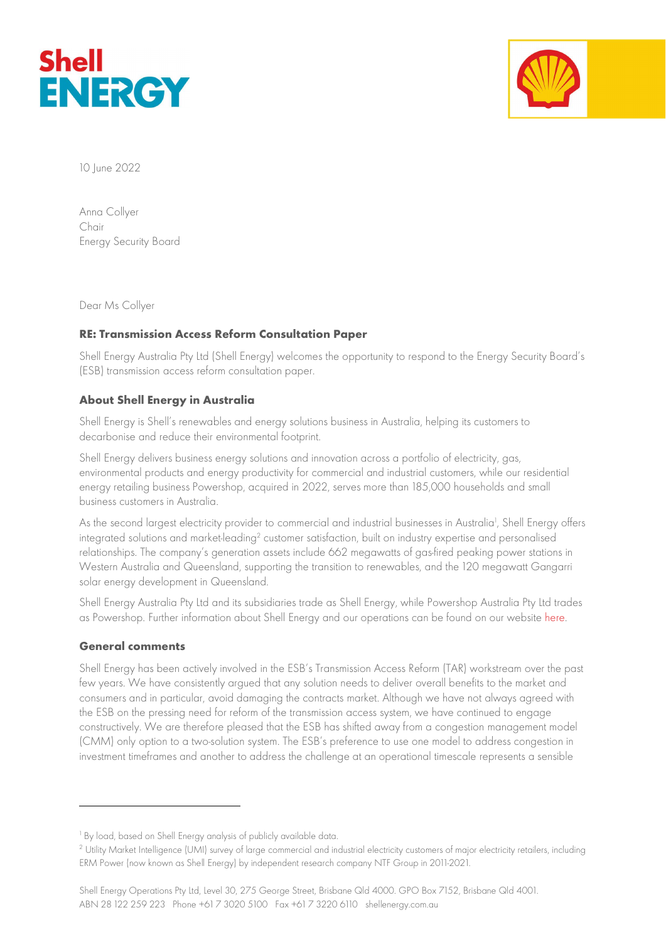



10 June 2022

Anna Collyer Chair Energy Security Board

Dear Ms Collyer

# RE: Transmission Access Reform Consultation Paper

Shell Energy Australia Pty Ltd (Shell Energy) welcomes the opportunity to respond to the Energy Security Board's (ESB) transmission access reform consultation paper.

# About Shell Energy in Australia

Shell Energy is Shell's renewables and energy solutions business in Australia, helping its customers to decarbonise and reduce their environmental footprint.

Shell Energy delivers business energy solutions and innovation across a portfolio of electricity, gas, environmental products and energy productivity for commercial and industrial customers, while our residential energy retailing business Powershop, acquired in 2022, serves more than 185,000 households and small business customers in Australia.

As the second largest electricity provider to commercial and industrial businesses in Australia<sup>1</sup>, Shell Energy offers integrated solutions and market-leading<sup>2</sup> customer satisfaction, built on industry expertise and personalised relationships. The company's generation assets include 662 megawatts of gas-fired peaking power stations in Western Australia and Queensland, supporting the transition to renewables, and the 120 megawatt Gangarri solar energy development in Queensland.

Shell Energy Australia Pty Ltd and its subsidiaries trade as Shell Energy, while Powershop Australia Pty Ltd trades as Powershop. Further information about Shell Energy and our operations can be found on our website here.

### General comments

Shell Energy has been actively involved in the ESB's Transmission Access Reform (TAR) workstream over the past few years. We have consistently argued that any solution needs to deliver overall benefits to the market and consumers and in particular, avoid damaging the contracts market. Although we have not always agreed with the ESB on the pressing need for reform of the transmission access system, we have continued to engage constructively. We are therefore pleased that the ESB has shifted away from a congestion management model (CMM) only option to a two-solution system. The ESB's preference to use one model to address congestion in investment timeframes and another to address the challenge at an operational timescale represents a sensible

<sup>&</sup>lt;sup>1</sup> By load, based on Shell Energy analysis of publicly available data.

<sup>2</sup> Utility Market Intelligence (UMI) survey of large commercial and industrial electricity customers of major electricity retailers, including ERM Power (now known as Shell Energy) by independent research company NTF Group in 2011-2021.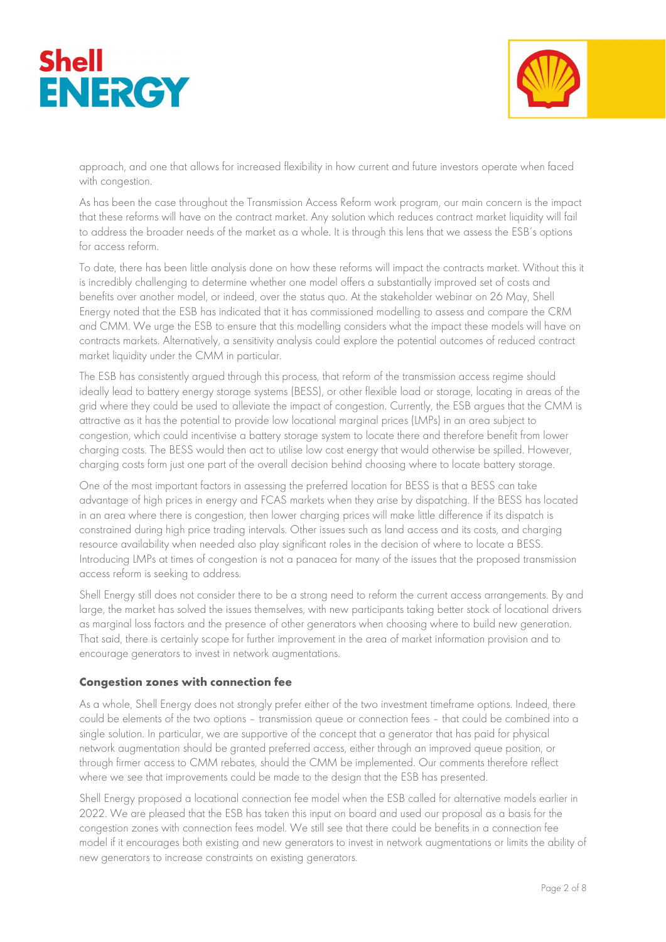



approach, and one that allows for increased flexibility in how current and future investors operate when faced with congestion.

As has been the case throughout the Transmission Access Reform work program, our main concern is the impact that these reforms will have on the contract market. Any solution which reduces contract market liquidity will fail to address the broader needs of the market as a whole. It is through this lens that we assess the ESB's options for access reform.

To date, there has been little analysis done on how these reforms will impact the contracts market. Without this it is incredibly challenging to determine whether one model offers a substantially improved set of costs and benefits over another model, or indeed, over the status quo. At the stakeholder webinar on 26 May, Shell Energy noted that the ESB has indicated that it has commissioned modelling to assess and compare the CRM and CMM. We urge the ESB to ensure that this modelling considers what the impact these models will have on contracts markets. Alternatively, a sensitivity analysis could explore the potential outcomes of reduced contract market liquidity under the CMM in particular.

The ESB has consistently argued through this process, that reform of the transmission access regime should ideally lead to battery energy storage systems (BESS), or other flexible load or storage, locating in areas of the grid where they could be used to alleviate the impact of congestion. Currently, the ESB argues that the CMM is attractive as it has the potential to provide low locational marginal prices (LMPs) in an area subject to congestion, which could incentivise a battery storage system to locate there and therefore benefit from lower charging costs. The BESS would then act to utilise low cost energy that would otherwise be spilled. However, charging costs form just one part of the overall decision behind choosing where to locate battery storage.

One of the most important factors in assessing the preferred location for BESS is that a BESS can take advantage of high prices in energy and FCAS markets when they arise by dispatching. If the BESS has located in an area where there is congestion, then lower charging prices will make little difference if its dispatch is constrained during high price trading intervals. Other issues such as land access and its costs, and charging resource availability when needed also play significant roles in the decision of where to locate a BESS. Introducing LMPs at times of congestion is not a panacea for many of the issues that the proposed transmission access reform is seeking to address.

Shell Energy still does not consider there to be a strong need to reform the current access arrangements. By and large, the market has solved the issues themselves, with new participants taking better stock of locational drivers as marginal loss factors and the presence of other generators when choosing where to build new generation. That said, there is certainly scope for further improvement in the area of market information provision and to encourage generators to invest in network augmentations.

### Congestion zones with connection fee

As a whole, Shell Energy does not strongly prefer either of the two investment timeframe options. Indeed, there could be elements of the two options – transmission queue or connection fees – that could be combined into a single solution. In particular, we are supportive of the concept that a generator that has paid for physical network augmentation should be granted preferred access, either through an improved queue position, or through firmer access to CMM rebates, should the CMM be implemented. Our comments therefore reflect where we see that improvements could be made to the design that the ESB has presented.

Shell Energy proposed a locational connection fee model when the ESB called for alternative models earlier in 2022. We are pleased that the ESB has taken this input on board and used our proposal as a basis for the congestion zones with connection fees model. We still see that there could be benefits in a connection fee model if it encourages both existing and new generators to invest in network augmentations or limits the ability of new generators to increase constraints on existing generators.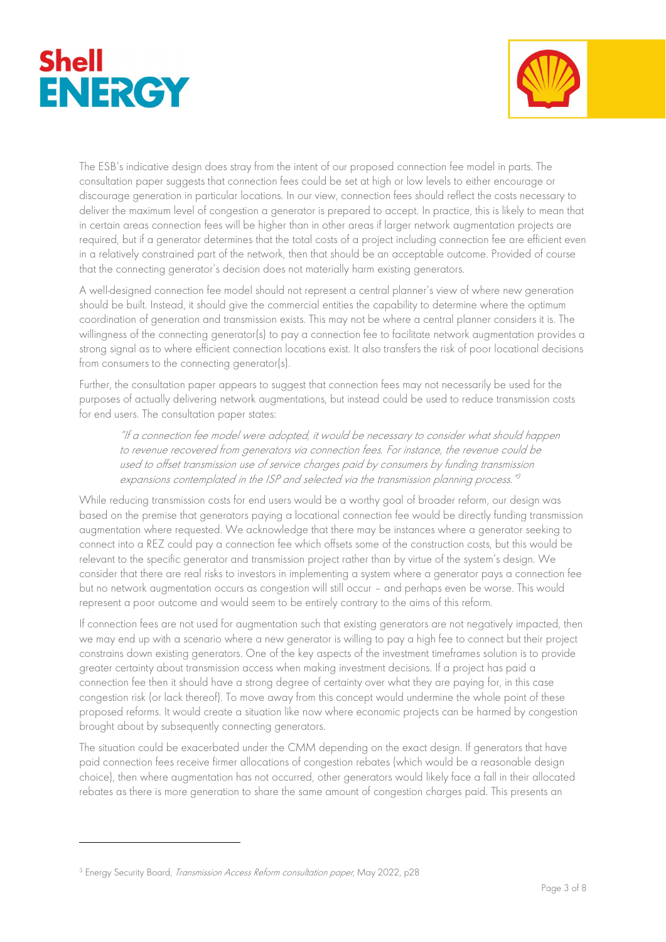



The ESB's indicative design does stray from the intent of our proposed connection fee model in parts. The consultation paper suggests that connection fees could be set at high or low levels to either encourage or discourage generation in particular locations. In our view, connection fees should reflect the costs necessary to deliver the maximum level of congestion a generator is prepared to accept. In practice, this is likely to mean that in certain areas connection fees will be higher than in other areas if larger network augmentation projects are required, but if a generator determines that the total costs of a project including connection fee are efficient even in a relatively constrained part of the network, then that should be an acceptable outcome. Provided of course that the connecting generator's decision does not materially harm existing generators.

A well-designed connection fee model should not represent a central planner's view of where new generation should be built. Instead, it should give the commercial entities the capability to determine where the optimum coordination of generation and transmission exists. This may not be where a central planner considers it is. The willingness of the connecting generator(s) to pay a connection fee to facilitate network augmentation provides a strong signal as to where efficient connection locations exist. It also transfers the risk of poor locational decisions from consumers to the connecting generator(s).

Further, the consultation paper appears to suggest that connection fees may not necessarily be used for the purposes of actually delivering network augmentations, but instead could be used to reduce transmission costs for end users. The consultation paper states:

"If a connection fee model were adopted, it would be necessary to consider what should happen to revenue recovered from generators via connection fees. For instance, the revenue could be used to offset transmission use of service charges paid by consumers by funding transmission expansions contemplated in the ISP and selected via the transmission planning process." 3

While reducing transmission costs for end users would be a worthy goal of broader reform, our design was based on the premise that generators paying a locational connection fee would be directly funding transmission augmentation where requested. We acknowledge that there may be instances where a generator seeking to connect into a REZ could pay a connection fee which offsets some of the construction costs, but this would be relevant to the specific generator and transmission project rather than by virtue of the system's design. We consider that there are real risks to investors in implementing a system where a generator pays a connection fee but no network augmentation occurs as congestion will still occur – and perhaps even be worse. This would represent a poor outcome and would seem to be entirely contrary to the aims of this reform.

If connection fees are not used for augmentation such that existing generators are not negatively impacted, then we may end up with a scenario where a new generator is willing to pay a high fee to connect but their project constrains down existing generators. One of the key aspects of the investment timeframes solution is to provide greater certainty about transmission access when making investment decisions. If a project has paid a connection fee then it should have a strong degree of certainty over what they are paying for, in this case congestion risk (or lack thereof). To move away from this concept would undermine the whole point of these proposed reforms. It would create a situation like now where economic projects can be harmed by congestion brought about by subsequently connecting generators.

The situation could be exacerbated under the CMM depending on the exact design. If generators that have paid connection fees receive firmer allocations of congestion rebates (which would be a reasonable design choice), then where augmentation has not occurred, other generators would likely face a fall in their allocated rebates as there is more generation to share the same amount of congestion charges paid. This presents an

<sup>&</sup>lt;sup>3</sup> Energy Security Board, *Transmission Access Reform consultation paper*, May 2022, p28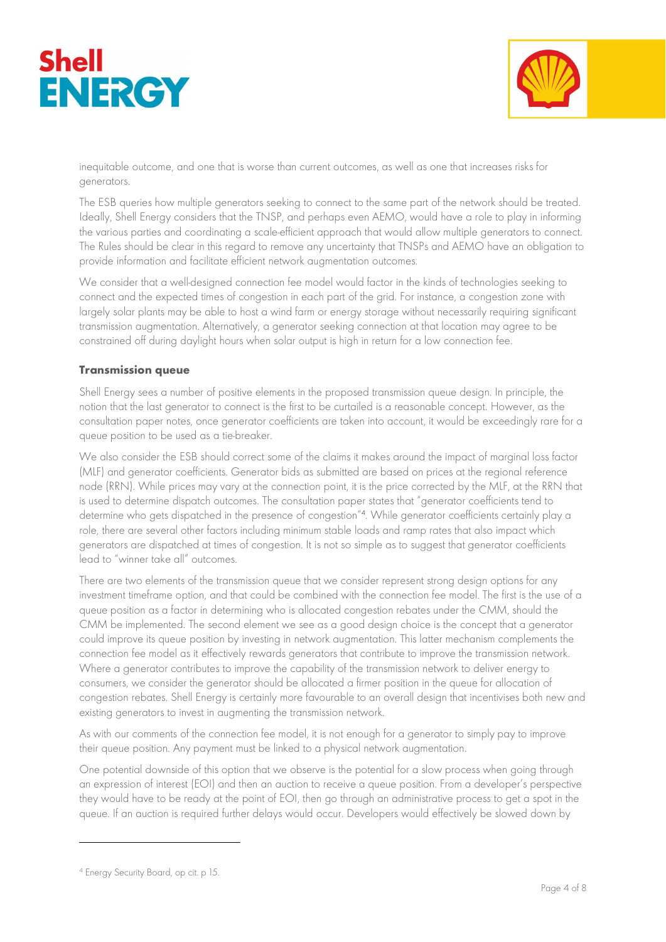



inequitable outcome, and one that is worse than current outcomes, as well as one that increases risks for generators.

The ESB queries how multiple generators seeking to connect to the same part of the network should be treated. Ideally, Shell Energy considers that the TNSP, and perhaps even AEMO, would have a role to play in informing the various parties and coordinating a scale-efficient approach that would allow multiple generators to connect. The Rules should be clear in this regard to remove any uncertainty that TNSPs and AEMO have an obligation to provide information and facilitate efficient network augmentation outcomes.

We consider that a well-designed connection fee model would factor in the kinds of technologies seeking to connect and the expected times of congestion in each part of the grid. For instance, a congestion zone with largely solar plants may be able to host a wind farm or energy storage without necessarily requiring significant transmission augmentation. Alternatively, a generator seeking connection at that location may agree to be constrained off during daylight hours when solar output is high in return for a low connection fee.

## Transmission queue

Shell Energy sees a number of positive elements in the proposed transmission queue design. In principle, the notion that the last generator to connect is the first to be curtailed is a reasonable concept. However, as the consultation paper notes, once generator coefficients are taken into account, it would be exceedingly rare for a queue position to be used as a tie-breaker.

We also consider the ESB should correct some of the claims it makes around the impact of marginal loss factor (MLF) and generator coefficients. Generator bids as submitted are based on prices at the regional reference node (RRN). While prices may vary at the connection point, it is the price corrected by the MLF, at the RRN that is used to determine dispatch outcomes. The consultation paper states that "generator coefficients tend to determine who gets dispatched in the presence of congestion"<sup>4</sup> . While generator coefficients certainly play a role, there are several other factors including minimum stable loads and ramp rates that also impact which generators are dispatched at times of congestion. It is not so simple as to suggest that generator coefficients lead to "winner take all" outcomes.

There are two elements of the transmission queue that we consider represent strong design options for any investment timeframe option, and that could be combined with the connection fee model. The first is the use of a queue position as a factor in determining who is allocated congestion rebates under the CMM, should the CMM be implemented. The second element we see as a good design choice is the concept that a generator could improve its queue position by investing in network augmentation. This latter mechanism complements the connection fee model as it effectively rewards generators that contribute to improve the transmission network. Where a generator contributes to improve the capability of the transmission network to deliver energy to consumers, we consider the generator should be allocated a firmer position in the queue for allocation of congestion rebates. Shell Energy is certainly more favourable to an overall design that incentivises both new and existing generators to invest in augmenting the transmission network.

As with our comments of the connection fee model, it is not enough for a generator to simply pay to improve their queue position. Any payment must be linked to a physical network augmentation.

One potential downside of this option that we observe is the potential for a slow process when going through an expression of interest (EOI) and then an auction to receive a queue position. From a developer's perspective they would have to be ready at the point of EOI, then go through an administrative process to get a spot in the queue. If an auction is required further delays would occur. Developers would effectively be slowed down by

<sup>4</sup> Energy Security Board, op cit. p 15.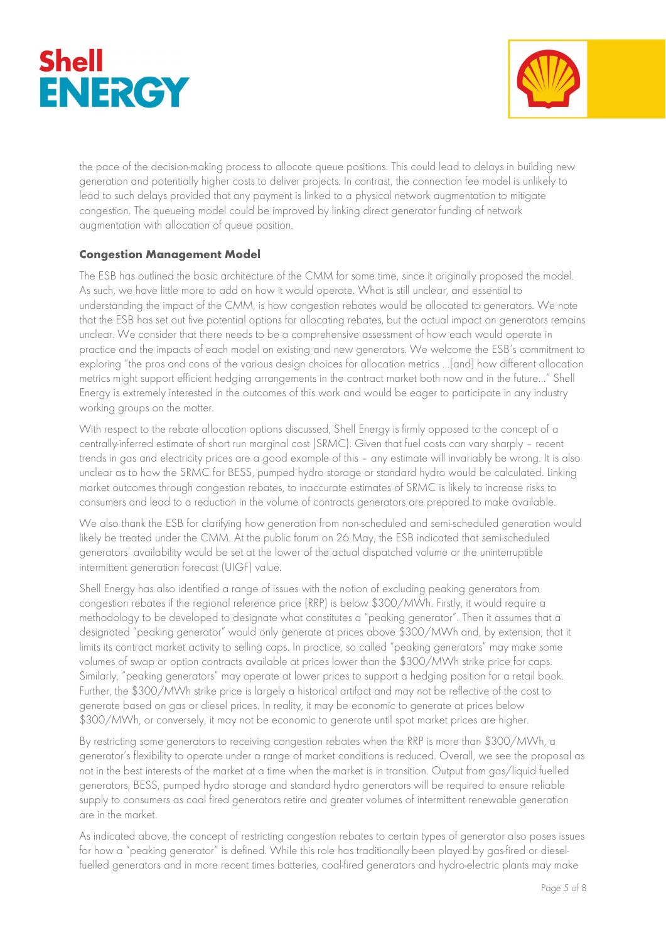



the pace of the decision-making process to allocate queue positions. This could lead to delays in building new generation and potentially higher costs to deliver projects. In contrast, the connection fee model is unlikely to lead to such delays provided that any payment is linked to a physical network augmentation to mitigate congestion. The queueing model could be improved by linking direct generator funding of network augmentation with allocation of queue position.

# Congestion Management Model

The ESB has outlined the basic architecture of the CMM for some time, since it originally proposed the model. As such, we have little more to add on how it would operate. What is still unclear, and essential to understanding the impact of the CMM, is how congestion rebates would be allocated to generators. We note that the ESB has set out five potential options for allocating rebates, but the actual impact on generators remains unclear. We consider that there needs to be a comprehensive assessment of how each would operate in practice and the impacts of each model on existing and new generators. We welcome the ESB's commitment to exploring "the pros and cons of the various design choices for allocation metrics …[and] how different allocation metrics might support efficient hedging arrangements in the contract market both now and in the future…" Shell Energy is extremely interested in the outcomes of this work and would be eager to participate in any industry working groups on the matter.

With respect to the rebate allocation options discussed, Shell Energy is firmly opposed to the concept of a centrally-inferred estimate of short run marginal cost (SRMC). Given that fuel costs can vary sharply – recent trends in gas and electricity prices are a good example of this – any estimate will invariably be wrong. It is also unclear as to how the SRMC for BESS, pumped hydro storage or standard hydro would be calculated. Linking market outcomes through congestion rebates, to inaccurate estimates of SRMC is likely to increase risks to consumers and lead to a reduction in the volume of contracts generators are prepared to make available.

We also thank the ESB for clarifying how generation from non-scheduled and semi-scheduled generation would likely be treated under the CMM. At the public forum on 26 May, the ESB indicated that semi-scheduled generators' availability would be set at the lower of the actual dispatched volume or the uninterruptible intermittent generation forecast (UIGF) value.

Shell Energy has also identified a range of issues with the notion of excluding peaking generators from congestion rebates if the regional reference price (RRP) is below \$300/MWh. Firstly, it would require a methodology to be developed to designate what constitutes a "peaking generator". Then it assumes that a designated "peaking generator" would only generate at prices above \$300/MWh and, by extension, that it limits its contract market activity to selling caps. In practice, so called "peaking generators" may make some volumes of swap or option contracts available at prices lower than the \$300/MWh strike price for caps. Similarly, "peaking generators" may operate at lower prices to support a hedging position for a retail book. Further, the \$300/MWh strike price is largely a historical artifact and may not be reflective of the cost to generate based on gas or diesel prices. In reality, it may be economic to generate at prices below \$300/MWh, or conversely, it may not be economic to generate until spot market prices are higher.

By restricting some generators to receiving congestion rebates when the RRP is more than \$300/MWh, a generator's flexibility to operate under a range of market conditions is reduced. Overall, we see the proposal as not in the best interests of the market at a time when the market is in transition. Output from gas/liquid fuelled generators, BESS, pumped hydro storage and standard hydro generators will be required to ensure reliable supply to consumers as coal fired generators retire and greater volumes of intermittent renewable generation are in the market.

As indicated above, the concept of restricting congestion rebates to certain types of generator also poses issues for how a "peaking generator" is defined. While this role has traditionally been played by gas-fired or dieselfuelled generators and in more recent times batteries, coal-fired generators and hydro-electric plants may make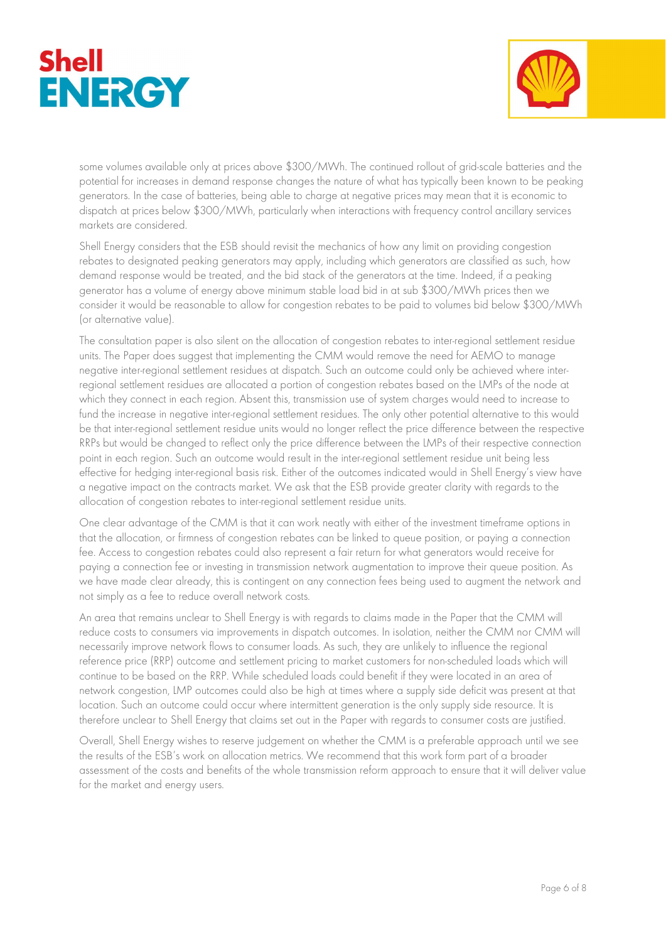



some volumes available only at prices above \$300/MWh. The continued rollout of grid-scale batteries and the potential for increases in demand response changes the nature of what has typically been known to be peaking generators. In the case of batteries, being able to charge at negative prices may mean that it is economic to dispatch at prices below \$300/MWh, particularly when interactions with frequency control ancillary services markets are considered.

Shell Energy considers that the ESB should revisit the mechanics of how any limit on providing congestion rebates to designated peaking generators may apply, including which generators are classified as such, how demand response would be treated, and the bid stack of the generators at the time. Indeed, if a peaking generator has a volume of energy above minimum stable load bid in at sub \$300/MWh prices then we consider it would be reasonable to allow for congestion rebates to be paid to volumes bid below \$300/MWh (or alternative value).

The consultation paper is also silent on the allocation of congestion rebates to inter-regional settlement residue units. The Paper does suggest that implementing the CMM would remove the need for AEMO to manage negative inter-regional settlement residues at dispatch. Such an outcome could only be achieved where interregional settlement residues are allocated a portion of congestion rebates based on the LMPs of the node at which they connect in each region. Absent this, transmission use of system charges would need to increase to fund the increase in negative inter-regional settlement residues. The only other potential alternative to this would be that inter-regional settlement residue units would no longer reflect the price difference between the respective RRPs but would be changed to reflect only the price difference between the LMPs of their respective connection point in each region. Such an outcome would result in the inter-regional settlement residue unit being less effective for hedging inter-regional basis risk. Either of the outcomes indicated would in Shell Energy's view have a negative impact on the contracts market. We ask that the ESB provide greater clarity with regards to the allocation of congestion rebates to inter-regional settlement residue units.

One clear advantage of the CMM is that it can work neatly with either of the investment timeframe options in that the allocation, or firmness of congestion rebates can be linked to queue position, or paying a connection fee. Access to congestion rebates could also represent a fair return for what generators would receive for paying a connection fee or investing in transmission network augmentation to improve their queue position. As we have made clear already, this is contingent on any connection fees being used to augment the network and not simply as a fee to reduce overall network costs.

An area that remains unclear to Shell Energy is with regards to claims made in the Paper that the CMM will reduce costs to consumers via improvements in dispatch outcomes. In isolation, neither the CMM nor CMM will necessarily improve network flows to consumer loads. As such, they are unlikely to influence the regional reference price (RRP) outcome and settlement pricing to market customers for non-scheduled loads which will continue to be based on the RRP. While scheduled loads could benefit if they were located in an area of network congestion, LMP outcomes could also be high at times where a supply side deficit was present at that location. Such an outcome could occur where intermittent generation is the only supply side resource. It is therefore unclear to Shell Energy that claims set out in the Paper with regards to consumer costs are justified.

Overall, Shell Energy wishes to reserve judgement on whether the CMM is a preferable approach until we see the results of the ESB's work on allocation metrics. We recommend that this work form part of a broader assessment of the costs and benefits of the whole transmission reform approach to ensure that it will deliver value for the market and energy users.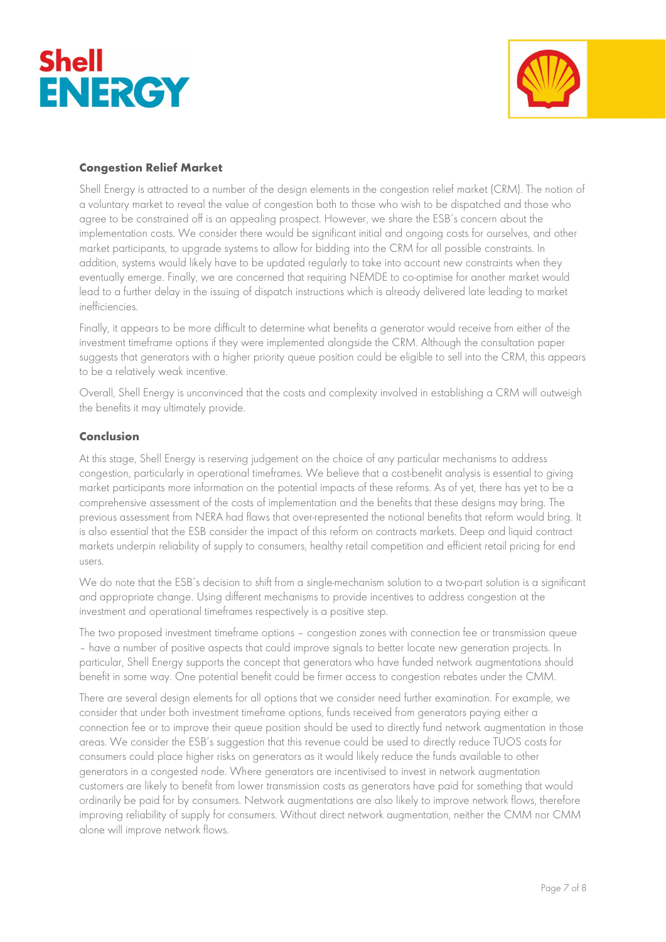



## Congestion Relief Market

Shell Energy is attracted to a number of the design elements in the congestion relief market (CRM). The notion of a voluntary market to reveal the value of congestion both to those who wish to be dispatched and those who agree to be constrained off is an appealing prospect. However, we share the ESB's concern about the implementation costs. We consider there would be significant initial and ongoing costs for ourselves, and other market participants, to upgrade systems to allow for bidding into the CRM for all possible constraints. In addition, systems would likely have to be updated regularly to take into account new constraints when they eventually emerge. Finally, we are concerned that requiring NEMDE to co-optimise for another market would lead to a further delay in the issuing of dispatch instructions which is already delivered late leading to market inefficiencies.

Finally, it appears to be more difficult to determine what benefits a generator would receive from either of the investment timeframe options if they were implemented alongside the CRM. Although the consultation paper suggests that generators with a higher priority queue position could be eligible to sell into the CRM, this appears to be a relatively weak incentive.

Overall, Shell Energy is unconvinced that the costs and complexity involved in establishing a CRM will outweigh the benefits it may ultimately provide.

### Conclusion

At this stage, Shell Energy is reserving judgement on the choice of any particular mechanisms to address congestion, particularly in operational timeframes. We believe that a cost-benefit analysis is essential to giving market participants more information on the potential impacts of these reforms. As of yet, there has yet to be a comprehensive assessment of the costs of implementation and the benefits that these designs may bring. The previous assessment from NERA had flaws that over-represented the notional benefits that reform would bring. It is also essential that the ESB consider the impact of this reform on contracts markets. Deep and liquid contract markets underpin reliability of supply to consumers, healthy retail competition and efficient retail pricing for end users.

We do note that the ESB's decision to shift from a single-mechanism solution to a two-part solution is a significant and appropriate change. Using different mechanisms to provide incentives to address congestion at the investment and operational timeframes respectively is a positive step.

The two proposed investment timeframe options – congestion zones with connection fee or transmission queue – have a number of positive aspects that could improve signals to better locate new generation projects. In particular, Shell Energy supports the concept that generators who have funded network augmentations should benefit in some way. One potential benefit could be firmer access to congestion rebates under the CMM.

There are several design elements for all options that we consider need further examination. For example, we consider that under both investment timeframe options, funds received from generators paying either a connection fee or to improve their queue position should be used to directly fund network augmentation in those areas. We consider the ESB's suggestion that this revenue could be used to directly reduce TUOS costs for consumers could place higher risks on generators as it would likely reduce the funds available to other generators in a congested node. Where generators are incentivised to invest in network augmentation customers are likely to benefit from lower transmission costs as generators have paid for something that would ordinarily be paid for by consumers. Network augmentations are also likely to improve network flows, therefore improving reliability of supply for consumers. Without direct network augmentation, neither the CMM nor CMM alone will improve network flows.